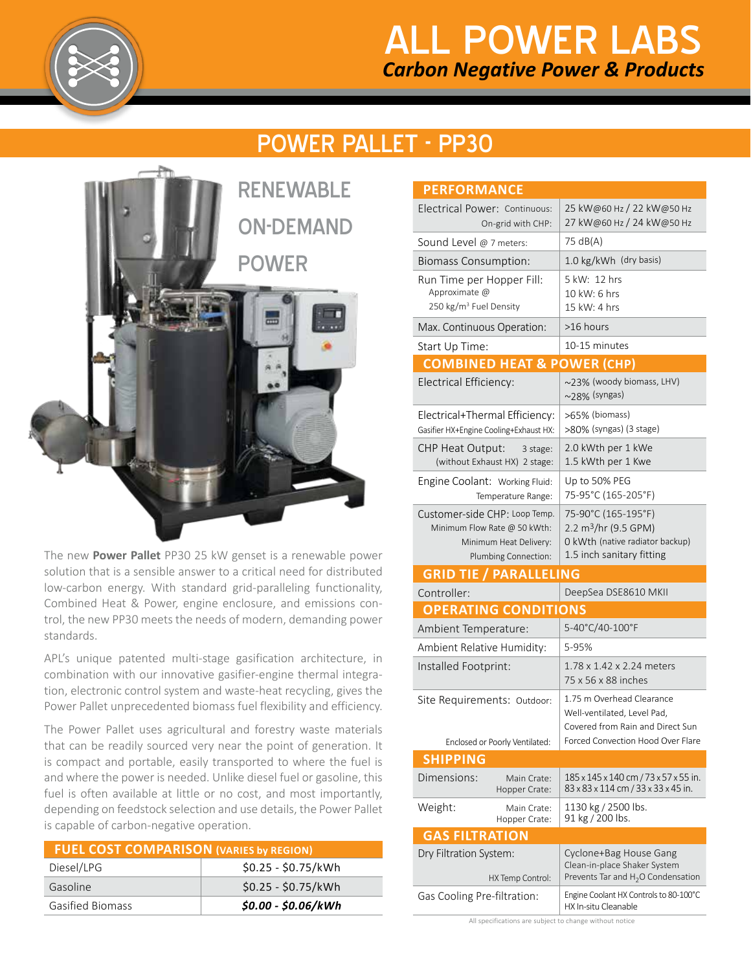

## *Carbon Negative Power & Products* ALL POWER LABS

## POWER PALLET - PP30



The new **Power Pallet** PP30 25 kW genset is a renewable power solution that is a sensible answer to a critical need for distributed low-carbon energy. With standard grid-paralleling functionality, Combined Heat & Power, engine enclosure, and emissions control, the new PP30 meets the needs of modern, demanding power standards.

APL's unique patented multi-stage gasification architecture, in combination with our innovative gasifier-engine thermal integration, electronic control system and waste-heat recycling, gives the Power Pallet unprecedented biomass fuel flexibility and efficiency.

The Power Pallet uses agricultural and forestry waste materials that can be readily sourced very near the point of generation. It is compact and portable, easily transported to where the fuel is and where the power is needed. Unlike diesel fuel or gasoline, this fuel is often available at little or no cost, and most importantly, depending on feedstock selection and use details, the Power Pallet is capable of carbon-negative operation.

| <b>FUEL COST COMPARISON (VARIES by REGION)</b> |                     |  |
|------------------------------------------------|---------------------|--|
| Diesel/LPG                                     | $$0.25 - $0.75/kWh$ |  |
| Gasoline                                       | \$0.25 - \$0.75/kWh |  |
| <b>Gasified Biomass</b>                        | $$0.00 - $0.06/kWh$ |  |

| <b>PERFORMANCE</b>                                                               |                                                                                                          |
|----------------------------------------------------------------------------------|----------------------------------------------------------------------------------------------------------|
| Electrical Power: Continuous:<br>On-grid with CHP:                               | 25 kW@60 Hz / 22 kW@50 Hz<br>27 kW@60 Hz / 24 kW@50 Hz                                                   |
| Sound Level @ 7 meters:                                                          | 75 dB(A)                                                                                                 |
| <b>Biomass Consumption:</b>                                                      | 1.0 kg/kWh (dry basis)                                                                                   |
| Run Time per Hopper Fill:<br>Approximate @<br>250 kg/m <sup>3</sup> Fuel Density | 5 kW: 12 hrs<br>10 kW: 6 hrs<br>15 kW: 4 hrs                                                             |
| Max. Continuous Operation:                                                       | >16 hours                                                                                                |
| Start Up Time:                                                                   | 10-15 minutes                                                                                            |
| <b>COMBINED HEAT &amp; POWER (CHP)</b>                                           |                                                                                                          |
| Electrical Efficiency:                                                           | ~23% (woody biomass, LHV)<br>$\sim$ 28% (syngas)                                                         |
| Electrical+Thermal Efficiency:<br>Gasifier HX+Engine Cooling+Exhaust HX:         | >65% (biomass)<br>>80% (syngas) (3 stage)                                                                |
| <b>CHP Heat Output:</b><br>3 stage:<br>(without Exhaust HX) 2 stage:             | 2.0 kWth per 1 kWe<br>1.5 kWth per 1 Kwe                                                                 |
| Engine Coolant: Working Fluid:<br>Temperature Range:                             | Up to 50% PEG<br>75-95°C (165-205°F)                                                                     |
| Customer-side CHP: Loop Temp.<br>Minimum Flow Rate @ 50 kWth:                    | 75-90°C (165-195°F)<br>2.2 m <sup>3</sup> /hr (9.5 GPM)                                                  |
| Minimum Heat Delivery:<br>Plumbing Connection:                                   | O kWth (native radiator backup)<br>1.5 inch sanitary fitting                                             |
| <b>GRID TIE / PARALLELING</b>                                                    |                                                                                                          |
| Controller:                                                                      | DeepSea DSE8610 MKII                                                                                     |
| <b>OPERATING CONDITIONS</b>                                                      |                                                                                                          |
| Ambient Temperature:                                                             | 5-40°C/40-100°F                                                                                          |
| Ambient Relative Humidity:                                                       | 5-95%                                                                                                    |
| Installed Footprint:                                                             | 1.78 x 1.42 x 2.24 meters<br>75 x 56 x 88 inches                                                         |
| Site Requirements: Outdoor:                                                      | 1.75 m Overhead Clearance<br>Well-ventilated, Level Pad,<br>Covered from Rain and Direct Sun             |
| Enclosed or Poorly Ventilated:                                                   | Forced Convection Hood Over Flare                                                                        |
| <b>SHIPPING</b>                                                                  |                                                                                                          |
| Dimensions:<br>Main Crate:<br>Hopper Crate:                                      | 185 x 145 x 140 cm / 73 x 57 x 55 in.<br>83 x 83 x 114 cm / 33 x 33 x 45 in.                             |
| Weight:<br>Main Crate:<br>Hopper Crate:                                          | 1130 kg / 2500 lbs.<br>91 kg / 200 lbs.                                                                  |
| <b>GAS FILTRATION</b>                                                            |                                                                                                          |
| Dry Filtration System:<br>HX Temp Control:                                       | Cyclone+Bag House Gang<br>Clean-in-place Shaker System<br>Prevents Tar and H <sub>2</sub> O Condensation |

All specifications are subject to change without notice